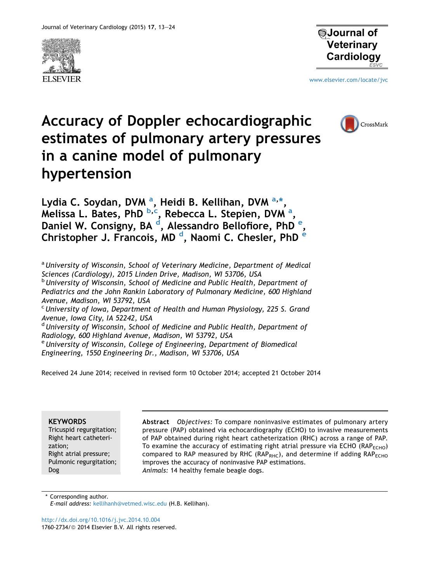



[www.elsevier.com/locate/jvc](http://www.elsevier.com/locate/jvc)

# Accuracy of Doppler echocardiographic estimates of pulmonary artery pressures in a canine model of pulmonary hypertension



Lydia C. Soydan, DVM <sup>a</sup>, Heidi B. Kellihan, DVM <sup>a,</sup>\*, Melissa L. Bates, PhD <sup>b,c</sup>, Rebecca L. Stepien, DVM <sup>a</sup>, Daniel W. Consigny, BA <sup>d</sup>, Alessandro Bellofiore, PhD <sup>e</sup>, Christopher J. Francois, MD <sup>d</sup>, Naomi C. Chesler, PhD <sup>e</sup>

<sup>a</sup> University of Wisconsin, School of Veterinary Medicine, Department of Medical Sciences (Cardiology), 2015 Linden Drive, Madison, WI 53706, USA

**b** University of Wisconsin, School of Medicine and Public Health, Department of Pediatrics and the John Rankin Laboratory of Pulmonary Medicine, 600 Highland Avenue, Madison, WI 53792, USA

 $c$  University of Iowa, Department of Health and Human Physiology, 225 S. Grand Avenue, Iowa City, IA 52242, USA

 $d$  University of Wisconsin, School of Medicine and Public Health, Department of Radiology, 600 Highland Avenue, Madison, WI 53792, USA

 $e$ University of Wisconsin, College of Engineering, Department of Biomedical Engineering, 1550 Engineering Dr., Madison, WI 53706, USA

Received 24 June 2014; received in revised form 10 October 2014; accepted 21 October 2014

# **KEYWORDS**

Tricuspid regurgitation; Right heart catheterization; Right atrial pressure; Pulmonic regurgitation; Dog

Abstract Objectives: To compare noninvasive estimates of pulmonary artery pressure (PAP) obtained via echocardiography (ECHO) to invasive measurements of PAP obtained during right heart catheterization (RHC) across a range of PAP. To examine the accuracy of estimating right atrial pressure via ECHO ( $RAP<sub>ECHO</sub>$ ) compared to RAP measured by RHC ( $RAP_{RHC}$ ), and determine if adding  $RAP_{ECHO}$ improves the accuracy of noninvasive PAP estimations. Animals: 14 healthy female beagle dogs.

\* Corresponding author. E-mail address: [kellihanh@vetmed.wisc.edu](mailto:kellihanh@vetmed.wisc.edu) (H.B. Kellihan).

<http://dx.doi.org/10.1016/j.jvc.2014.10.004> 1760-2734/@ 2014 Elsevier B.V. All rights reserved.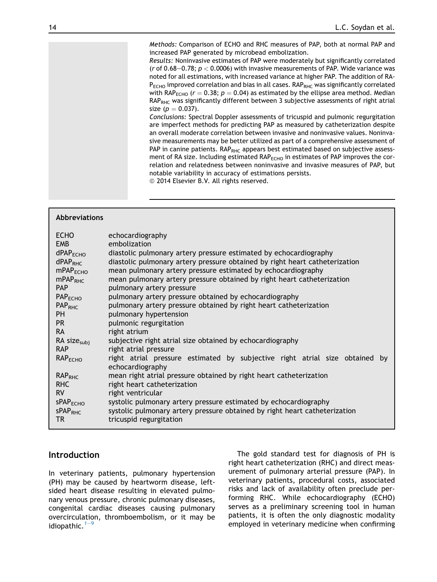Methods: Comparison of ECHO and RHC measures of PAP, both at normal PAP and increased PAP generated by microbead embolization.

Results: Noninvasive estimates of PAP were moderately but significantly correlated (r of 0.68–0.78;  $p < 0.0006$ ) with invasive measurements of PAP. Wide variance was noted for all estimations, with increased variance at higher PAP. The addition of RA- $P_{\text{FCHO}}$  improved correlation and bias in all cases. RAP<sub>RHC</sub> was significantly correlated with RAP<sub>ECHO</sub> ( $r = 0.38$ ;  $p = 0.04$ ) as estimated by the ellipse area method. Median RAP<sub>RHC</sub> was significantly different between 3 subjective assessments of right atrial size ( $p = 0.037$ ).

Conclusions: Spectral Doppler assessments of tricuspid and pulmonic regurgitation are imperfect methods for predicting PAP as measured by catheterization despite an overall moderate correlation between invasive and noninvasive values. Noninvasive measurements may be better utilized as part of a comprehensive assessment of PAP in canine patients.  $RAP_{RHC}$  appears best estimated based on subjective assessment of RA size. Including estimated  $RAP<sub>ECHO</sub>$  in estimates of PAP improves the correlation and relatedness between noninvasive and invasive measures of PAP, but notable variability in accuracy of estimations persists.

<sup>©</sup> 2014 Elsevier B.V. All rights reserved.

#### Abbreviations

#### Introduction

In veterinary patients, pulmonary hypertension (PH) may be caused by heartworm disease, leftsided heart disease resulting in elevated pulmonary venous pressure, chronic pulmonary diseases, congenital cardiac diseases causing pulmonary overcirculation, thromboembolism, or it may be idiopathic. $1-9$  $1-9$  $1-9$ 

The gold standard test for diagnosis of PH is right heart catheterization (RHC) and direct measurement of pulmonary arterial pressure (PAP). In veterinary patients, procedural costs, associated risks and lack of availability often preclude performing RHC. While echocardiography (ECHO) serves as a preliminary screening tool in human patients, it is often the only diagnostic modality employed in veterinary medicine when confirming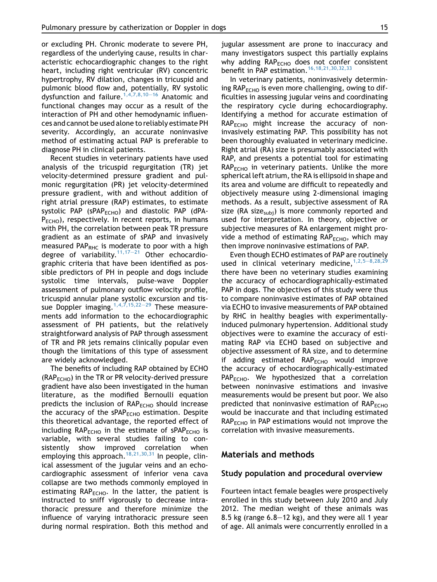or excluding PH. Chronic moderate to severe PH, regardless of the underlying cause, results in characteristic echocardiographic changes to the right heart, including right ventricular (RV) concentric hypertrophy, RV dilation, changes in tricuspid and pulmonic blood flow and, potentially, RV systolic dysfunction and failure.<sup>[1,4,7,8,10](#page-10-0)–[16](#page-10-0)</sup> Anatomic and functional changes may occur as a result of the interaction of PH and other hemodynamic influences and cannot be used alone to reliably estimate PH severity. Accordingly, an accurate noninvasive method of estimating actual PAP is preferable to diagnose PH in clinical patients.

Recent studies in veterinary patients have used analysis of the tricuspid regurgitation (TR) jet velocity-determined pressure gradient and pulmonic regurgitation (PR) jet velocity-determined pressure gradient, with and without addition of right atrial pressure (RAP) estimates, to estimate systolic PAP ( $sPAP<sub>FCHO</sub>$ ) and diastolic PAP (dPA- $P_{FCHO}$ ), respectively. In recent reports, in humans with PH, the correlation between peak TR pressure gradient as an estimate of sPAP and invasively measured PAP<sub>RHC</sub> is moderate to poor with a high degree of variability.<sup>[11,17](#page-10-0)-[21](#page-10-0)</sup> Other echocardiographic criteria that have been identified as possible predictors of PH in people and dogs include systolic time intervals, pulse-wave Doppler assessment of pulmonary outflow velocity profile, tricuspid annular plane systolic excursion and tissue Doppler imaging.  $1,4,7,15,22-29$  $1,4,7,15,22-29$  $1,4,7,15,22-29$  These measurements add information to the echocardiographic assessment of PH patients, but the relatively straightforward analysis of PAP through assessment of TR and PR jets remains clinically popular even though the limitations of this type of assessment are widely acknowledged.

The benefits of including RAP obtained by ECHO  $(RAP<sub>FCHO</sub>)$  in the TR or PR velocity-derived pressure gradient have also been investigated in the human literature, as the modified Bernoulli equation predicts the inclusion of RAP<sub>ECHO</sub> should increase the accuracy of the  $sPAP<sub>ECHO</sub>$  estimation. Despite this theoretical advantage, the reported effect of including  $RAP<sub>FCHO</sub>$  in the estimate of sPAP<sub>ECHO</sub> is variable, with several studies failing to consistently show improved correlation when employing this approach.<sup>[18,21,30,31](#page-10-0)</sup> In people, clinical assessment of the jugular veins and an echocardiographic assessment of inferior vena cava collapse are two methods commonly employed in estimating  $RAP<sub>ECHO</sub>$ . In the latter, the patient is instructed to sniff vigorously to decrease intrathoracic pressure and therefore minimize the influence of varying intrathoracic pressure seen during normal respiration. Both this method and jugular assessment are prone to inaccuracy and many investigators suspect this partially explains why adding  $RAP<sub>FCHO</sub>$  does not confer consistent benefit in PAP estimation.<sup>[16,18,21,30,32,33](#page-10-0)</sup>

In veterinary patients, noninvasively determining  $RAP<sub>ECHO</sub>$  is even more challenging, owing to difficulties in assessing jugular veins and coordinating the respiratory cycle during echocardiography. Identifying a method for accurate estimation of  $RAP<sub>ECHO</sub>$  might increase the accuracy of noninvasively estimating PAP. This possibility has not been thoroughly evaluated in veterinary medicine. Right atrial (RA) size is presumably associated with RAP, and presents a potential tool for estimating  $RAP<sub>ECHO</sub>$  in veterinary patients. Unlike the more spherical left atrium, the RA is ellipsoid in shape and its area and volume are difficult to repeatedly and objectively measure using 2-dimensional imaging methods. As a result, subjective assessment of RA size (RA size<sub>subi</sub>) is more commonly reported and used for interpretation. In theory, objective or subjective measures of RA enlargement might provide a method of estimating  $RAP<sub>ECHO</sub>$ , which may then improve noninvasive estimations of PAP.

Even though ECHO estimates of PAP are routinely used in clinical veterinary medicine,  $1,2,5-8,28,29$  $1,2,5-8,28,29$  $1,2,5-8,28,29$ there have been no veterinary studies examining the accuracy of echocardiographically-estimated PAP in dogs. The objectives of this study were thus to compare noninvasive estimates of PAP obtained via ECHO to invasive measurements of PAP obtained by RHC in healthy beagles with experimentallyinduced pulmonary hypertension. Additional study objectives were to examine the accuracy of estimating RAP via ECHO based on subjective and objective assessment of RA size, and to determine if adding estimated  $RAP<sub>FCHO</sub>$  would improve the accuracy of echocardiographically-estimated  $PAP_{FCHO}$ . We hypothesized that a correlation between noninvasive estimations and invasive measurements would be present but poor. We also predicted that noninvasive estimation of  $RAP_{ECHO}$ would be inaccurate and that including estimated  $RAP<sub>ECHO</sub>$  in PAP estimations would not improve the correlation with invasive measurements.

# Materials and methods

#### Study population and procedural overview

Fourteen intact female beagles were prospectively enrolled in this study between July 2010 and July 2012. The median weight of these animals was 8.5 kg (range  $6.8-12$  kg), and they were all 1 year of age. All animals were concurrently enrolled in a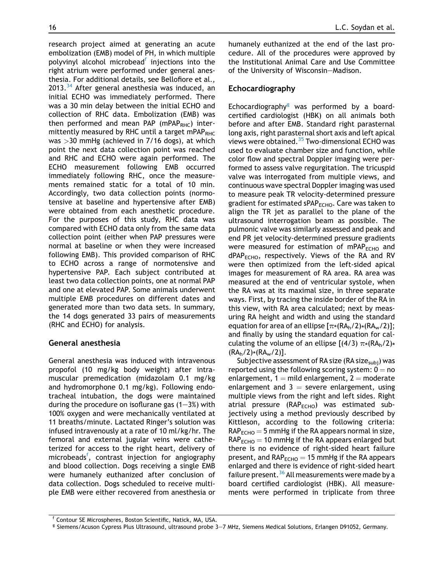<span id="page-3-0"></span>research project aimed at generating an acute embolization (EMB) model of PH, in which multiple polyvinyl alcohol microbead<sup>f</sup> injections into the right atrium were performed under general anesthesia. For additional details, see Bellofiore et al., 2013.<sup>[34](#page-11-0)</sup> After general anesthesia was induced, an initial ECHO was immediately performed. There was a 30 min delay between the initial ECHO and collection of RHC data. Embolization (EMB) was then performed and mean PAP (mPAP<sub>RHC</sub>) intermittently measured by RHC until a target mPAP<sub>RHC</sub> was >30 mmHg (achieved in 7/16 dogs), at which point the next data collection point was reached and RHC and ECHO were again performed. The ECHO measurement following EMB occurred immediately following RHC, once the measurements remained static for a total of 10 min. Accordingly, two data collection points (normotensive at baseline and hypertensive after EMB) were obtained from each anesthetic procedure. For the purposes of this study, RHC data was compared with ECHO data only from the same data collection point (either when PAP pressures were normal at baseline or when they were increased following EMB). This provided comparison of RHC to ECHO across a range of normotensive and hypertensive PAP. Each subject contributed at least two data collection points, one at normal PAP and one at elevated PAP. Some animals underwent multiple EMB procedures on different dates and generated more than two data sets. In summary, the 14 dogs generated 33 pairs of measurements (RHC and ECHO) for analysis.

# General anesthesia

General anesthesia was induced with intravenous propofol (10 mg/kg body weight) after intramuscular premedication (midazolam 0.1 mg/kg and hydromorphone 0.1 mg/kg). Following endotracheal intubation, the dogs were maintained during the procedure on isoflurane gas  $(1-3%)$  with 100% oxygen and were mechanically ventilated at 11 breaths/minute. Lactated Ringer's solution was infused intravenously at a rate of 10 ml/kg/hr. The femoral and external jugular veins were catheterized for access to the right heart, delivery of microbeads<sup>f</sup>, contrast injection for angiography and blood collection. Dogs receiving a single EMB were humanely euthanized after conclusion of data collection. Dogs scheduled to receive multiple EMB were either recovered from anesthesia or humanely euthanized at the end of the last procedure. All of the procedures were approved by the Institutional Animal Care and Use Committee of the University of Wisconsin-Madison.

# Echocardiography

Echocardiography $<sup>g</sup>$  was performed by a board-</sup> certified cardiologist (HBK) on all animals both before and after EMB. Standard right parasternal long axis, right parasternal short axis and left apical views were obtained. $35$  Two-dimensional ECHO was used to evaluate chamber size and function, while color flow and spectral Doppler imaging were performed to assess valve regurgitation. The tricuspid valve was interrogated from multiple views, and continuous wave spectral Doppler imaging was used to measure peak TR velocity-determined pressure gradient for estimated sPAP $_{\text{FCHO}}$ . Care was taken to align the TR jet as parallel to the plane of the ultrasound interrogation beam as possible. The pulmonic valve was similarly assessed and peak and end PR jet velocity-determined pressure gradients were measured for estimation of mPAP $_{\text{ECHO}}$  and  $dPAP<sub>ECHO</sub>$ , respectively. Views of the RA and RV were then optimized from the left-sided apical images for measurement of RA area. RA area was measured at the end of ventricular systole, when the RA was at its maximal size, in three separate ways. First, by tracing the inside border of the RA in this view, with RA area calculated; next by measuring RA height and width and using the standard equation for area of an ellipse  $[\pi*(RA_h/2)*(RA_w/2)]$ ; and finally by using the standard equation for calculating the volume of an ellipse  $[(4/3) \pi * (RA_h/2) * (RA_h/2) * (RA_h/2)]$ .

Subjective assessment of RA size (RA size $_{subj}$ ) was reported using the following scoring system:  $0 = no$ enlargement,  $1 =$  mild enlargement,  $2 =$  moderate enlargement and  $3 =$  severe enlargement, using multiple views from the right and left sides. Right atrial pressure ( $RAP<sub>ECHO</sub>$ ) was estimated subjectively using a method previously described by Kittleson, according to the following criteria:  $RAP<sub>ECHO</sub> = 5$  mmHg if the RA appears normal in size,  $RAP<sub>ECHO</sub> = 10$  mmHg if the RA appears enlarged but there is no evidence of right-sided heart failure present, and  $RAP<sub>ECHO</sub> = 15$  mmHg if the RA appears enlarged and there is evidence of right-sided heart failure present.<sup>[36](#page-11-0)</sup> All measurements were made by a board certified cardiologist (HBK). All measurements were performed in triplicate from three

<sup>f</sup> Contour SE Microspheres, Boston Scientific, Natick, MA, USA.

<sup>&</sup>lt;sup>g</sup> Siemens/Acuson Cypress Plus Ultrasound, ultrasound probe 3-7 MHz, Siemens Medical Solutions, Erlangen D91052, Germany.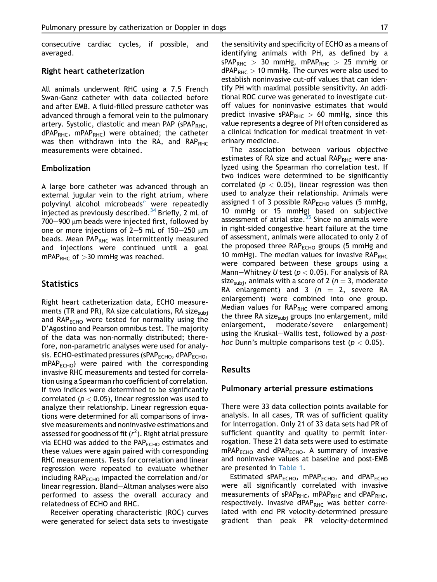consecutive cardiac cycles, if possible, and averaged.

#### Right heart catheterization

All animals underwent RHC using a 7.5 French Swan-Ganz catheter with data collected before and after EMB. A fluid-filled pressure catheter was advanced through a femoral vein to the pulmonary artery. Systolic, diastolic and mean PAP ( $SPAP<sub>RHC</sub>$ ,  $dPAP<sub>RHC</sub>$ , mPAP<sub>RHC</sub>) were obtained; the catheter was then withdrawn into the RA, and  $RAP_{RHC}$ measurements were obtained.

#### Embolization

A large bore catheter was advanced through an external jugular vein to the right atrium, where polyvinyl alcohol microb[e](#page-3-0)ads<sup>e</sup> were repeatedly injected as previously described.<sup>[34](#page-11-0)</sup> Briefly, 2 mL of  $700-900$  µm beads were injected first, followed by one or more injections of 2-5 mL of 150-250  $\mu$ m beads. Mean PAP<sub>RHC</sub> was intermittently measured and injections were continued until a goal mPAP<sub>RHC</sub> of  $>$ 30 mmHg was reached.

## **Statistics**

Right heart catheterization data, ECHO measurements (TR and PR), RA size calculations, RA size $_{subi}$ and  $RAP<sub>ECHO</sub>$  were tested for normality using the D'Agostino and Pearson omnibus test. The majority of the data was non-normally distributed; therefore, non-parametric analyses were used for analysis. ECHO-estimated pressures (sPAP<sub>ECHO</sub>, dPAP<sub>ECHO</sub>,  $mPAP<sub>FCHO</sub>$  were paired with the corresponding invasive RHC measurements and tested for correlation using a Spearman rho coefficient of correlation. If two indices were determined to be significantly correlated ( $p < 0.05$ ), linear regression was used to analyze their relationship. Linear regression equations were determined for all comparisons of invasive measurements and noninvasive estimations and assessed for goodness of fit ( $r^2$ ). Right atrial pressure via ECHO was added to the PAP<sub>ECHO</sub> estimates and these values were again paired with corresponding RHC measurements. Tests for correlation and linear regression were repeated to evaluate whether including RAP<sub>ECHO</sub> impacted the correlation and/or linear regression. Bland-Altman analyses were also performed to assess the overall accuracy and relatedness of ECHO and RHC.

Receiver operating characteristic (ROC) curves were generated for select data sets to investigate the sensitivity and specificity of ECHO as a means of identifying animals with PH, as defined by a  $sPAP_{RHC} > 30$  mmHg, mPAP<sub>RHC</sub>  $> 25$  mmHg or  $dPAP<sub>RHC</sub> > 10$  mmHg. The curves were also used to establish noninvasive cut-off values that can identify PH with maximal possible sensitivity. An additional ROC curve was generated to investigate cutoff values for noninvasive estimates that would predict invasive sPAP<sub>RHC</sub>  $> 60$  mmHg, since this value represents a degree of PH often considered as a clinical indication for medical treatment in veterinary medicine.

The association between various objective estimates of RA size and actual  $RAP<sub>RHC</sub>$  were analyzed using the Spearman rho correlation test. If two indices were determined to be significantly correlated ( $p < 0.05$ ), linear regression was then used to analyze their relationship. Animals were assigned 1 of 3 possible  $RAP<sub>ECHO</sub>$  values (5 mmHg, 10 mmHg or 15 mmHg) based on subjective assessment of atrial size.<sup>[35](#page-11-0)</sup> Since no animals were in right-sided congestive heart failure at the time of assessment, animals were allocated to only 2 of the proposed three  $RAP<sub>ECHO</sub>$  groups (5 mmHg and 10 mmHg). The median values for invasive  $RAP<sub>RHC</sub>$ were compared between these groups using a Mann-Whitney U test ( $p < 0.05$ ). For analysis of RA size<sub>subi</sub>, animals with a score of 2 ( $n = 3$ , moderate RA enlargement) and 3  $(n = 2, \text{ severe RA})$ enlargement) were combined into one group. Median values for  $RAP<sub>RHC</sub>$  were compared among the three RA size<sub>subj</sub> groups (no enlargement, mild enlargement, moderate/severe enlargement) using the Kruskal-Wallis test, followed by a posthoc Dunn's multiple comparisons test ( $p < 0.05$ ).

#### Results

#### Pulmonary arterial pressure estimations

There were 33 data collection points available for analysis. In all cases, TR was of sufficient quality for interrogation. Only 21 of 33 data sets had PR of sufficient quantity and quality to permit interrogation. These 21 data sets were used to estimate  $mPAP<sub>ECHO</sub>$  and dPAP<sub>ECHO</sub>. A summary of invasive and noninvasive values at baseline and post-EMB are presented in [Table 1](#page-5-0).

Estimated sPAP<sub>ECHO</sub>, mPAP<sub>ECHO</sub>, and dPAP<sub>ECHO</sub> were all significantly correlated with invasive measurements of sPAP<sub>RHC</sub>, mPAP<sub>RHC</sub> and dPAP<sub>RHC</sub>, respectively. Invasive dPAP<sub>RHC</sub> was better correlated with end PR velocity-determined pressure gradient than peak PR velocity-determined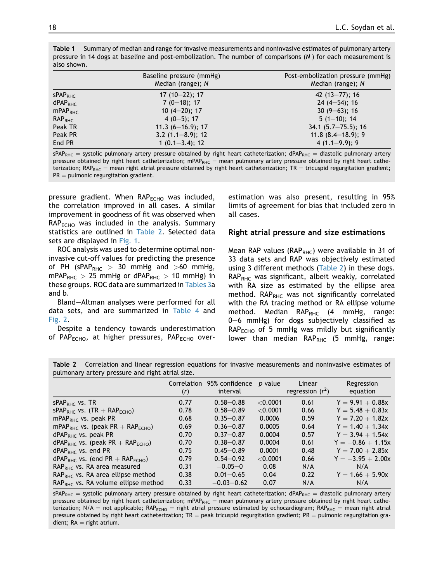|                     | Baseline pressure (mmHg)<br>Median (range); N | Post-embolization pressure (mmHg)<br>Median (range); N |
|---------------------|-----------------------------------------------|--------------------------------------------------------|
| SPAP <sub>RHC</sub> | $17(10-22); 17$                               | 42 $(13 - 77)$ ; 16                                    |
| dPAP <sub>RHC</sub> | $7(0-18); 17$                                 | $24(4-54)$ ; 16                                        |
| mPAP <sub>RHC</sub> | $10(4-20)$ ; 17                               | $30(9-63); 16$                                         |
| RAP <sub>RHC</sub>  | $4(0-5)$ ; 17                                 | $5(1-10); 14$                                          |
| Peak TR             | $11.3(6 - 16.9)$ ; 17                         | $34.1 (5.7 - 75.5); 16$                                |
| Peak PR             | $3.2(1.1 - 8.9); 12$                          | $11.8$ (8.4-18.9); 9                                   |
| End PR              | $1(0.1 - 3.4); 12$                            | $4(1.1-9.9); 9$                                        |

<span id="page-5-0"></span>Table 1 Summary of median and range for invasive measurements and noninvasive estimates of pulmonary artery pressure in 14 dogs at baseline and post-embolization. The number of comparisons (N ) for each measurement is also shown.

 $sPAP_{RHC}$  = systolic pulmonary artery pressure obtained by right heart catheterization; dPAP<sub>RHC</sub> = diastolic pulmonary artery pressure obtained by right heart catheterization; mPAP<sub>RHC</sub> = mean pulmonary artery pressure obtained by right heart catheterization; RAP<sub>RHC</sub> = mean right atrial pressure obtained by right heart catheterization; TR = tricuspid regurgitation gradient;  $PR =$  pulmonic regurgitation gradient.

pressure gradient. When RAP<sub>ECHO</sub> was included, the correlation improved in all cases. A similar improvement in goodness of fit was observed when  $RAP<sub>ECHO</sub>$  was included in the analysis. Summary statistics are outlined in Table 2. Selected data sets are displayed in [Fig. 1.](#page-6-0)

ROC analysis was used to determine optimal noninvasive cut-off values for predicting the presence of PH (sPAP<sub>RHC</sub>  $> 30$  mmHg and  $>60$  mmHg,  $mPAP<sub>RHC</sub> > 25$  mmHg or dPAP<sub>RHC</sub> > 10 mmHg) in these groups. ROC data are summarized in Tables 3a and b.

Bland-Altman analyses were performed for all data sets, and are summarized in [Table 4](#page-7-0) and [Fig. 2.](#page-8-0)

Despite a tendency towards underestimation of PAP $_{\text{ECHO}}$ , at higher pressures, PAP $_{\text{ECHO}}$  overestimation was also present, resulting in 95% limits of agreement for bias that included zero in all cases.

#### Right atrial pressure and size estimations

Mean RAP values ( $RAP<sub>RHC</sub>$ ) were available in 31 of 33 data sets and RAP was objectively estimated using 3 different methods (Table 2) in these dogs.  $RAP<sub>RHC</sub>$  was significant, albeit weakly, correlated with RA size as estimated by the ellipse area method.  $RAP_{RHC}$  was not significantly correlated with the RA tracing method or RA ellipse volume method. Median  $RAP_{RHC}$  (4 mmHg, range:  $0-6$  mmHg) for dogs subjectively classified as  $RAP<sub>ECHO</sub>$  of 5 mmHg was mildly but significantly lower than median  $RAP_{RHC}$  (5 mmHg, range:

|                                                  |  |  | Table 2 Correlation and linear regression equations for invasive measurements and noninvasive estimates of |  |  |
|--------------------------------------------------|--|--|------------------------------------------------------------------------------------------------------------|--|--|
| pulmonary artery pressure and right atrial size. |  |  |                                                                                                            |  |  |

|                                                          | (r)  | Correlation 95% confidence<br>interval | p value    | Linear<br>regression $(r^2)$ | Regression<br>equation |
|----------------------------------------------------------|------|----------------------------------------|------------|------------------------------|------------------------|
| $sPAPRHC$ vs. TR                                         | 0.77 | $0.58 - 0.88$                          | $<$ 0.0001 | 0.61                         | $Y = 9.91 + 0.88x$     |
| $sPAPRHC$ vs. (TR + RAP <sub>ECHO</sub> )                | 0.78 | $0.58 - 0.89$                          | < 0.0001   | 0.66                         | $Y = 5.48 + 0.83x$     |
| $mPAPRHC$ vs. peak PR                                    | 0.68 | $0.35 - 0.87$                          | 0.0006     | 0.59                         | $Y = 7.20 + 1.82x$     |
| mPAP <sub>RHC</sub> vs. (peak PR + RAP <sub>ECHO</sub> ) | 0.69 | $0.36 - 0.87$                          | 0.0005     | 0.64                         | $Y = 1.40 + 1.34x$     |
| $dPAPRHC$ vs. peak PR                                    | 0.70 | $0.37 - 0.87$                          | 0.0004     | 0.57                         | $Y = 3.94 + 1.54x$     |
| $dPAPRHC$ vs. (peak PR + RAP <sub>FCHO</sub> )           | 0.70 | $0.38 - 0.87$                          | 0.0004     | 0.61                         | $Y = -0.86 + 1.15x$    |
| $dPAPRHC$ vs. end PR                                     | 0.75 | $0.45 - 0.89$                          | 0.0001     | 0.48                         | $Y = 7.00 + 2.85x$     |
| $dPAPRHC$ vs. (end PR + RAP <sub>ECHO</sub> )            | 0.79 | $0.54 - 0.92$                          | < 0.0001   | 0.66                         | $Y = -3.95 + 2.00x$    |
| $RAPRHC$ vs. RA area measured                            | 0.31 | $-0.05-0$                              | 0.08       | N/A                          | N/A                    |
| $RAPRHC$ vs. RA area ellipse method                      | 0.38 | $0.01 - 0.65$                          | 0.04       | 0.22                         | $Y = 1.66 + 5.90x$     |
| $RAPRHC$ vs. RA volume ellipse method                    | 0.33 | $-0.03 - 0.62$                         | 0.07       | N/A                          | N/A                    |

 $sPAP_{RHC}$  = systolic pulmonary artery pressure obtained by right heart catheterization; dPAP<sub>RHC</sub> = diastolic pulmonary artery pressure obtained by right heart catheterization; mPAP<sub>RHC</sub> = mean pulmonary artery pressure obtained by right heart catheterization; N/A = not applicable; RAP<sub>ECHO</sub> = right atrial pressure estimated by echocardiogram; RAP<sub>RHC</sub> = mean right atrial pressure obtained by right heart catheterization; TR = peak tricuspid regurgitation gradient; PR = pulmonic regurgitation gradient;  $RA =$  right atrium.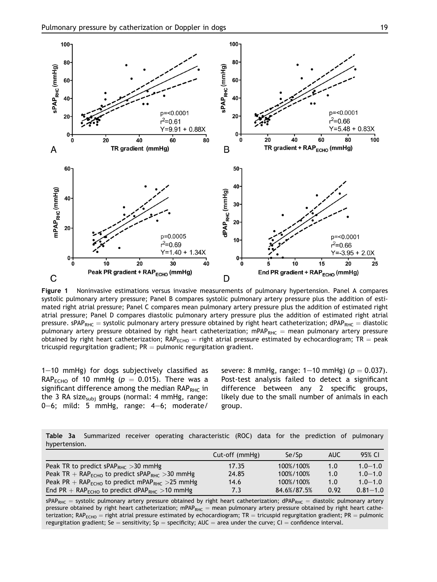<span id="page-6-0"></span>

Figure 1 Noninvasive estimations versus invasive measurements of pulmonary hypertension. Panel A compares systolic pulmonary artery pressure; Panel B compares systolic pulmonary artery pressure plus the addition of estimated right atrial pressure; Panel C compares mean pulmonary artery pressure plus the addition of estimated right atrial pressure; Panel D compares diastolic pulmonary artery pressure plus the addition of estimated right atrial pressure. sPAP<sub>RHC</sub> = systolic pulmonary artery pressure obtained by right heart catheterization; dPAP<sub>RHC</sub> = diastolic pulmonary artery pressure obtained by right heart catheterization; mPAP<sub>RHC</sub> = mean pulmonary artery pressure obtained by right heart catheterization; RAP<sub>ECHO</sub> = right atrial pressure estimated by echocardiogram; TR = peak tricuspid regurgitation gradient;  $PR =$  pulmonic regurgitation gradient.

 $1-10$  mmHg) for dogs subjectively classified as RAP<sub>ECHO</sub> of 10 mmHg ( $p = 0.015$ ). There was a significant difference among the median  $RAP_{RHC}$  in the 3 RA size<sub>subi</sub> groups (normal: 4 mmHg, range: 0-6; mild: 5 mmHg, range:  $4-6$ ; moderate/

severe: 8 mmHg, range:  $1-10$  mmHg) ( $p = 0.037$ ). Post-test analysis failed to detect a significant difference between any 2 specific groups, likely due to the small number of animals in each group.

Table 3a Summarized receiver operating characteristic (ROC) data for the prediction of pulmonary hypertension.

|                                                                        | Cut-off (mmHg) | Se/Sp       | AUC  | 95% CI       |
|------------------------------------------------------------------------|----------------|-------------|------|--------------|
| Peak TR to predict sPAP <sub>RHC</sub> > 30 mmHg                       | 17.35          | 100%/100%   | 1.0  | $1.0 - 1.0$  |
| Peak TR + $RAPECHO$ to predict sPAP <sub>RHC</sub> > 30 mmHg           | 24.85          | 100%/100%   | 1.0  | $1.0 - 1.0$  |
| Peak PR + $RAP_{\text{ECHO}}$ to predict mPAP <sub>RHC</sub> > 25 mmHg | 14.6           | 100%/100%   | 1.0  | $1.0 - 1.0$  |
| End PR + $RAPECHO$ to predict dPAP <sub>RHC</sub> >10 mmHg             | 7.3            | 84.6%/87.5% | 0.92 | $0.81 - 1.0$ |

 $sPAP_{RHC}$  = systolic pulmonary artery pressure obtained by right heart catheterization; dPAP<sub>RHC</sub> = diastolic pulmonary artery pressure obtained by right heart catheterization; mPAP<sub>RHC</sub> = mean pulmonary artery pressure obtained by right heart catheterization;  $RAP_{ECHO}$  = right atrial pressure estimated by echocardiogram; TR = tricuspid regurgitation gradient; PR = pulmonic regurgitation gradient; Se = sensitivity; Sp = specificity; AUC = area under the curve; CI = confidence interval.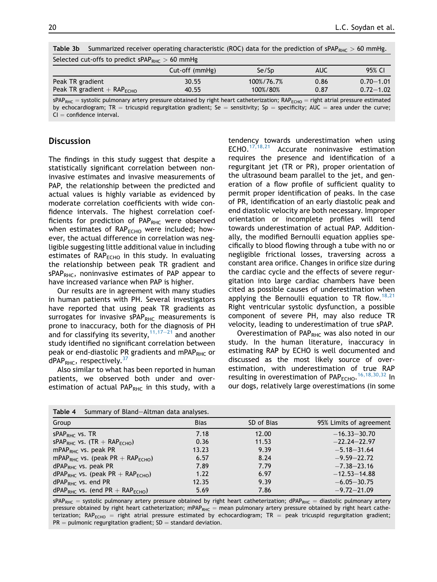| Selected cut-offs to predict sPAP <sub>RHC</sub> $>$ 60 mmHg |                                                                                |            |      |                                  |  |
|--------------------------------------------------------------|--------------------------------------------------------------------------------|------------|------|----------------------------------|--|
|                                                              | Cut-off (mmHg)                                                                 | Se/Sp      | AUC  | 95% CI                           |  |
| Peak TR gradient                                             | 30.55                                                                          | 100%/76.7% | 0.86 | $0.70 - 1.01$                    |  |
| Peak TR gradient $+$ RAP <sub>ECHO</sub>                     | 40.55                                                                          | 100%/80%   | 0.87 | $0.72 - 1.02$                    |  |
| ADAD                                                         | autolic pulmonany arteny processe obtained by right beart cathotorization, DAD |            |      | wisht atwial processes octimated |  |

Table 3b Summarized receiver operating characteristic (ROC) data for the prediction of sPAP<sub>PHC</sub>  $> 60$  mmHg.

 $sPAP_{RHC}$  = systolic pulmonary artery pressure obtained by right heart catheterization;  $RAP_{RHC}$  = right atrial pressure estimated by echocardiogram; TR = tricuspid regurgitation gradient; Se = sensitivity; Sp = specificity; AUC = area under the curve;  $Cl = \text{confidence interval}$ 

# **Discussion**

The findings in this study suggest that despite a statistically significant correlation between noninvasive estimates and invasive measurements of PAP, the relationship between the predicted and actual values is highly variable as evidenced by moderate correlation coefficients with wide confidence intervals. The highest correlation coefficients for prediction of  $PAP<sub>RHC</sub>$  were observed when estimates of  $RAP<sub>ECHO</sub>$  were included; however, the actual difference in correlation was negligible suggesting little additional value in including estimates of  $RAP<sub>ECHO</sub>$  in this study. In evaluating the relationship between peak TR gradient and  $sPAP<sub>RHC</sub>$ , noninvasive estimates of PAP appear to have increased variance when PAP is higher.

Our results are in agreement with many studies in human patients with PH. Several investigators have reported that using peak TR gradients as surrogates for invasive sPAP $_{RHC}$  measurements is prone to inaccuracy, both for the diagnosis of PH and for classifying its severity,  $11,17-21$  $11,17-21$  $11,17-21$  and another study identified no significant correlation between peak or end-diastolic PR gradients and mPAP<sub>RHC</sub> or  $dPAP<sub>RHC</sub>$ , respectively.<sup>[37](#page-11-0)</sup>

Also similar to what has been reported in human patients, we observed both under and overestimation of actual PAP<sub>RHC</sub> in this study, with a tendency towards underestimation when using ECHO. $17,18,21$  Accurate noninvasive estimation requires the presence and identification of a regurgitant jet (TR or PR), proper orientation of the ultrasound beam parallel to the jet, and generation of a flow profile of sufficient quality to permit proper identification of peaks. In the case of PR, identification of an early diastolic peak and end diastolic velocity are both necessary. Improper orientation or incomplete profiles will tend towards underestimation of actual PAP. Additionally, the modified Bernoulli equation applies specifically to blood flowing through a tube with no or negligible frictional losses, traversing across a constant area orifice. Changes in orifice size during the cardiac cycle and the effects of severe regurgitation into large cardiac chambers have been cited as possible causes of underestimation when applying the Bernoulli equation to TR flow.<sup>[18,21](#page-10-0)</sup> Right ventricular systolic dysfunction, a possible component of severe PH, may also reduce TR velocity, leading to underestimation of true sPAP.

Overestimation of  $PAP<sub>RHC</sub>$  was also noted in our study. In the human literature, inaccuracy in estimating RAP by ECHO is well documented and discussed as the most likely source of overestimation, with underestimation of true RAP resulting in overestimation of  $\mathsf{PAP}_{\mathsf{ECHO}}$ . <sup>[16,18,30,32](#page-10-0)</sup> In our dogs, relatively large overestimations (in some

| Table 4<br>Summary of Bland-Altman data analyses.        |             |            |                         |  |  |  |
|----------------------------------------------------------|-------------|------------|-------------------------|--|--|--|
| Group                                                    | <b>Bias</b> | SD of Bias | 95% Limits of agreement |  |  |  |
| $sPAPRHC$ vs. TR                                         | 7.18        | 12.00      | $-16.33 - 30.70$        |  |  |  |
| $SPAP_{RHC}$ vs. (TR + RAP <sub>ECHO</sub> )             | 0.36        | 11.53      | $-22.24 - 22.97$        |  |  |  |
| mPAP <sub>RHC</sub> vs. peak PR                          | 13.23       | 9.39       | $-5.18 - 31.64$         |  |  |  |
| mPAP <sub>RHC</sub> vs. (peak PR + RAP <sub>ECHO</sub> ) | 6.57        | 8.24       | $-9.59 - 22.72$         |  |  |  |
| $dPAPRHC$ vs. peak PR                                    | 7.89        | 7.79       | $-7.38 - 23.16$         |  |  |  |
| $dPAPRHC$ vs. (peak PR + RAP <sub>ECHO</sub> )           | 1.22        | 6.97       | $-12.53 - 14.88$        |  |  |  |
| $dPAPRHC$ vs. end PR                                     | 12.35       | 9.39       | $-6.05 - 30.75$         |  |  |  |
| $dPAPRHC$ vs. (end PR + RAP <sub>ECHO</sub> )            | 5.69        | 7.86       | $-9.72 - 21.09$         |  |  |  |

 $sPAP_{RHC}$  = systolic pulmonary artery pressure obtained by right heart catheterization; dPAP<sub>RHC</sub> = diastolic pulmonary artery pressure obtained by right heart catheterization; mPAP<sub>RHC</sub> = mean pulmonary artery pressure obtained by right heart catheterization;  $RAP_{ECHO}$  = right atrial pressure estimated by echocardiogram; TR = peak tricuspid regurgitation gradient;  $PR =$  pulmonic regurgitation gradient;  $SD =$  standard deviation.

<span id="page-7-0"></span>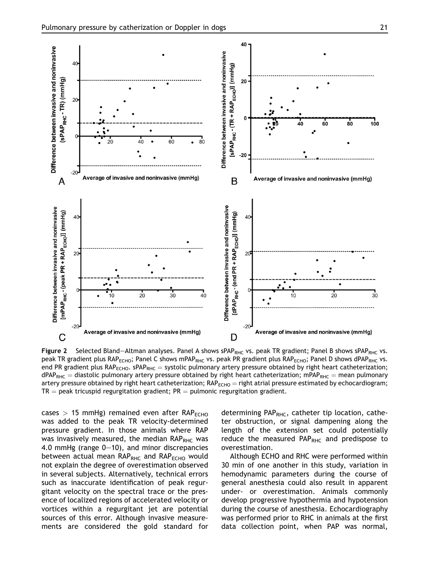<span id="page-8-0"></span>

Figure 2 Selected Bland-Altman analyses. Panel A shows sPAP<sub>RHC</sub> vs. peak TR gradient; Panel B shows sPAP<sub>RHC</sub> vs. peak TR gradient plus RAP<sub>ECHO</sub>; Panel C shows mPAP<sub>RHC</sub> vs. peak PR gradient plus RAP<sub>ECHO</sub>; Panel D shows dPAP<sub>RHC</sub> vs. end PR gradient plus RAP<sub>ECHO</sub>. sPAP<sub>RHC</sub> = systolic pulmonary artery pressure obtained by right heart catheterization;  $dPAP_{RHC} =$  diastolic pulmonary artery pressure obtained by right heart catheterization; mPAP<sub>RHC</sub> = mean pulmonary artery pressure obtained by right heart catheterization;  $RAP_{ECHO} =$  right atrial pressure estimated by echocardiogram;  $TR =$  peak tricuspid regurgitation gradient; PR = pulmonic regurgitation gradient.

cases  $> 15$  mmHg) remained even after RAP<sub>ECHO</sub> was added to the peak TR velocity-determined pressure gradient. In those animals where RAP was invasively measured, the median  $RAP<sub>RHC</sub>$  was 4.0 mmHg (range  $0-10$ ), and minor discrepancies between actual mean  $RAP<sub>RHC</sub>$  and  $RAP<sub>ECHO</sub>$  would not explain the degree of overestimation observed in several subjects. Alternatively, technical errors such as inaccurate identification of peak regurgitant velocity on the spectral trace or the presence of localized regions of accelerated velocity or vortices within a regurgitant jet are potential sources of this error. Although invasive measurements are considered the gold standard for determining PAP $_{RHC}$ , catheter tip location, catheter obstruction, or signal dampening along the length of the extension set could potentially reduce the measured  $PAP_{RHC}$  and predispose to overestimation.

Although ECHO and RHC were performed within 30 min of one another in this study, variation in hemodynamic parameters during the course of general anesthesia could also result in apparent under- or overestimation. Animals commonly develop progressive hypothermia and hypotension during the course of anesthesia. Echocardiography was performed prior to RHC in animals at the first data collection point, when PAP was normal,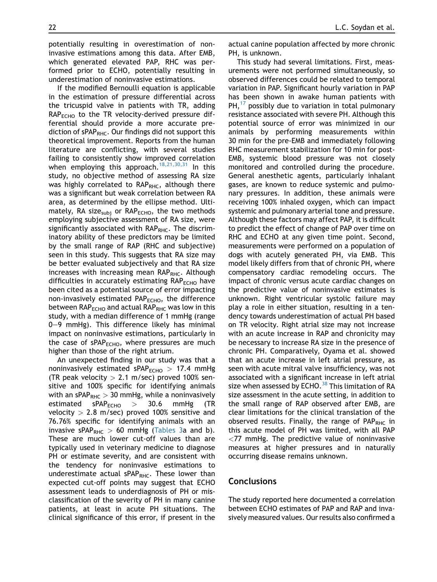potentially resulting in overestimation of noninvasive estimations among this data. After EMB, which generated elevated PAP, RHC was performed prior to ECHO, potentially resulting in underestimation of noninvasive estimations.

If the modified Bernoulli equation is applicable in the estimation of pressure differential across the tricuspid valve in patients with TR, adding  $RAP<sub>ECHO</sub>$  to the TR velocity-derived pressure differential should provide a more accurate prediction of  $sPAP<sub>RHC</sub>$ . Our findings did not support this theoretical improvement. Reports from the human literature are conflicting, with several studies failing to consistently show improved correlation when employing this approach.<sup>[18,21,30,31](#page-10-0)</sup> In this study, no objective method of assessing RA size was highly correlated to  $RAP_{RHC}$ , although there was a significant but weak correlation between RA area, as determined by the ellipse method. Ultimately, RA size<sub>subi</sub> or RAP<sub>ECHO</sub>, the two methods employing subjective assessment of RA size, were significantly associated with  $RAP_{RHC}$ . The discriminatory ability of these predictors may be limited by the small range of RAP (RHC and subjective) seen in this study. This suggests that RA size may be better evaluated subjectively and that RA size increases with increasing mean RAP<sub>RHC</sub>. Although difficulties in accurately estimating  $RAP<sub>ECHO</sub>$  have been cited as a potential source of error impacting non-invasively estimated PAP $_{\text{ECHO}}$ , the difference between  $RAP<sub>ECHO</sub>$  and actual  $RAP<sub>RHC</sub>$  was low in this study, with a median difference of 1 mmHg (range 0-9 mmHg). This difference likely has minimal impact on noninvasive estimations, particularly in the case of  $SPAP<sub>ECHO</sub>$ , where pressures are much higher than those of the right atrium.

An unexpected finding in our study was that a noninvasively estimated sPAP $_{\text{ECHO}}$  > 17.4 mmHg (TR peak velocity  $> 2.1$  m/sec) proved 100% sensitive and 100% specific for identifying animals with an sPAP<sub>RHC</sub>  $> 30$  mmHg, while a noninvasively estimated  $sPAP<sub>ECHO</sub> > 30.6$  mmHg (TR velocity  $> 2.8$  m/sec) proved 100% sensitive and 76.76% specific for identifying animals with an invasive sPAP<sub>RHC</sub>  $> 60$  mmHg (Tables 3a and b). These are much lower cut-off values than are typically used in veterinary medicine to diagnose PH or estimate severity, and are consistent with the tendency for noninvasive estimations to underestimate actual sPAP $_{RHC}$ . These lower than expected cut-off points may suggest that ECHO assessment leads to underdiagnosis of PH or misclassification of the severity of PH in many canine patients, at least in acute PH situations. The clinical significance of this error, if present in the actual canine population affected by more chronic PH, is unknown.

This study had several limitations. First, measurements were not performed simultaneously, so observed differences could be related to temporal variation in PAP. Significant hourly variation in PAP has been shown in awake human patients with  $PH<sup>17</sup>$  $PH<sup>17</sup>$  $PH<sup>17</sup>$  possibly due to variation in total pulmonary resistance associated with severe PH. Although this potential source of error was minimized in our animals by performing measurements within 30 min for the pre-EMB and immediately following RHC measurement stabilization for 10 min for post-EMB, systemic blood pressure was not closely monitored and controlled during the procedure. General anesthetic agents, particularly inhalant gases, are known to reduce systemic and pulmonary pressures. In addition, these animals were receiving 100% inhaled oxygen, which can impact systemic and pulmonary arterial tone and pressure. Although these factors may affect PAP, it is difficult to predict the effect of change of PAP over time on RHC and ECHO at any given time point. Second, measurements were performed on a population of dogs with acutely generated PH, via EMB. This model likely differs from that of chronic PH, where compensatory cardiac remodeling occurs. The impact of chronic versus acute cardiac changes on the predictive value of noninvasive estimates is unknown. Right ventricular systolic failure may play a role in either situation, resulting in a tendency towards underestimation of actual PH based on TR velocity. Right atrial size may not increase with an acute increase in RAP and chronicity may be necessary to increase RA size in the presence of chronic PH. Comparatively, Oyama et al. showed that an acute increase in left atrial pressure, as seen with acute mitral valve insufficiency, was not associated with a significant increase in left atrial size when assessed by ECHO.<sup>[38](#page-11-0)</sup> This limitation of RA size assessment in the acute setting, in addition to the small range of RAP observed after EMB, are clear limitations for the clinical translation of the observed results. Finally, the range of  $PAP<sub>RHC</sub>$  in this acute model of PH was limited, with all PAP  $<$ 77 mmHg. The predictive value of noninvasive measures at higher pressures and in naturally occurring disease remains unknown.

#### Conclusions

The study reported here documented a correlation between ECHO estimates of PAP and RAP and invasively measured values. Our results also confirmed a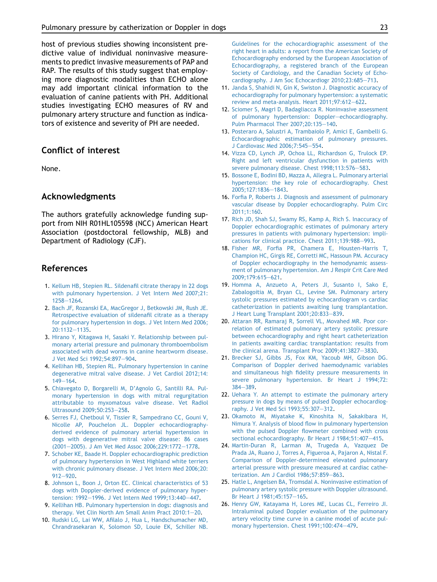<span id="page-10-0"></span>host of previous studies showing inconsistent predictive value of individual noninvasive measurements to predict invasive measurements of PAP and RAP. The results of this study suggest that employing more diagnostic modalities than ECHO alone may add important clinical information to the evaluation of canine patients with PH. Additional studies investigating ECHO measures of RV and pulmonary artery structure and function as indicators of existence and severity of PH are needed.

# Conflict of interest

None.

## Acknowledgments

The authors gratefully acknowledge funding support from NIH R01HL105598 (NCC) American Heart Association (postdoctoral fellowship, MLB) and Department of Radiology (CJF).

# References

- 1. [Kellum HB, Stepien RL. Sildenafil citrate therapy in 22 dogs](http://refhub.elsevier.com/S1760-2734(14)00080-0/sref1) [with pulmonary hypertension. J Vet Intern Med 2007;21:](http://refhub.elsevier.com/S1760-2734(14)00080-0/sref1) [1258](http://refhub.elsevier.com/S1760-2734(14)00080-0/sref1)-[1264](http://refhub.elsevier.com/S1760-2734(14)00080-0/sref1).
- 2. [Bach JF, Rozanski EA, MacGregor J, Betkowski JM, Rush JE.](http://refhub.elsevier.com/S1760-2734(14)00080-0/sref2) [Retrospective evaluation of sildenafil citrate as a therapy](http://refhub.elsevier.com/S1760-2734(14)00080-0/sref2) [for pulmonary hypertension in dogs. J Vet Intern Med 2006;](http://refhub.elsevier.com/S1760-2734(14)00080-0/sref2) [20:1132](http://refhub.elsevier.com/S1760-2734(14)00080-0/sref2)-[1135](http://refhub.elsevier.com/S1760-2734(14)00080-0/sref2).
- 3. [Hirano Y, Kitagawa H, Sasaki Y. Relationship between pul](http://refhub.elsevier.com/S1760-2734(14)00080-0/sref3)[monary arterial pressure and pulmonary thromboembolism](http://refhub.elsevier.com/S1760-2734(14)00080-0/sref3) [associated with dead worms in canine heartworm disease.](http://refhub.elsevier.com/S1760-2734(14)00080-0/sref3) [J Vet Med Sci 1992;54:897](http://refhub.elsevier.com/S1760-2734(14)00080-0/sref3)-[904.](http://refhub.elsevier.com/S1760-2734(14)00080-0/sref3)
- 4. [Kellihan HB, Stepien RL. Pulmonary hypertension in canine](http://refhub.elsevier.com/S1760-2734(14)00080-0/sref4) [degenerative mitral valve disease. J Vet Cardiol 2012;14:](http://refhub.elsevier.com/S1760-2734(14)00080-0/sref4)  $149 - 164.$  $149 - 164.$  $149 - 164.$
- 5. [Chiavegato D, Borgarelli M, D'Agnolo G, Santilli RA. Pul](http://refhub.elsevier.com/S1760-2734(14)00080-0/sref5)[monary hypertension in dogs with mitral regurgitation](http://refhub.elsevier.com/S1760-2734(14)00080-0/sref5) [attributable to myxomatous valve disease. Vet Radiol](http://refhub.elsevier.com/S1760-2734(14)00080-0/sref5) [Ultrasound 2009;50:253](http://refhub.elsevier.com/S1760-2734(14)00080-0/sref5)-[258.](http://refhub.elsevier.com/S1760-2734(14)00080-0/sref5)
- 6. [Serres FJ, Chetboul V, Tissier R, Sampedrano CC, Gouni V,](http://refhub.elsevier.com/S1760-2734(14)00080-0/sref6) [Nicolle AP, Pouchelon JL. Doppler echocardiography](http://refhub.elsevier.com/S1760-2734(14)00080-0/sref6)[derived evidence of pulmonary arterial hypertension in](http://refhub.elsevier.com/S1760-2734(14)00080-0/sref6) [dogs with degenerative mitral valve disease: 86 cases](http://refhub.elsevier.com/S1760-2734(14)00080-0/sref6) [\(2001](http://refhub.elsevier.com/S1760-2734(14)00080-0/sref6)-[2005\). J Am Vet Med Assoc 2006;229:1772](http://refhub.elsevier.com/S1760-2734(14)00080-0/sref6)-[1778.](http://refhub.elsevier.com/S1760-2734(14)00080-0/sref6)
- 7. [Schober KE, Baade H. Doppler echocardiographic prediction](http://refhub.elsevier.com/S1760-2734(14)00080-0/sref7) [of pulmonary hypertension in West Highland white terriers](http://refhub.elsevier.com/S1760-2734(14)00080-0/sref7) [with chronic pulmonary disease. J Vet Intern Med 2006;20:](http://refhub.elsevier.com/S1760-2734(14)00080-0/sref7)  $912 - 920$  $912 - 920$ .
- 8. [Johnson L, Boon J, Orton EC. Clinical characteristics of 53](http://refhub.elsevier.com/S1760-2734(14)00080-0/sref8) [dogs with Doppler-derived evidence of pulmonary hyper](http://refhub.elsevier.com/S1760-2734(14)00080-0/sref8)[tension: 1992](http://refhub.elsevier.com/S1760-2734(14)00080-0/sref8)-[1996. J Vet Intern Med 1999;13:440](http://refhub.elsevier.com/S1760-2734(14)00080-0/sref8)-[447](http://refhub.elsevier.com/S1760-2734(14)00080-0/sref8).
- 9. [Kellihan HB. Pulmonary hypertension in dogs: diagnosis and](http://refhub.elsevier.com/S1760-2734(14)00080-0/sref9) [therapy. Vet Clin North Am Small Anim Pract 2010:1](http://refhub.elsevier.com/S1760-2734(14)00080-0/sref9)-[20](http://refhub.elsevier.com/S1760-2734(14)00080-0/sref9).
- 10. [Rudski LG, Lai WW, Afilalo J, Hua L, Handschumacher MD,](http://refhub.elsevier.com/S1760-2734(14)00080-0/sref10) [Chrandrasekaran K, Solomon SD, Louie EK, Schiller NB.](http://refhub.elsevier.com/S1760-2734(14)00080-0/sref10)

[Guidelines for the echocardiographic assessment of the](http://refhub.elsevier.com/S1760-2734(14)00080-0/sref10) [right heart in adults: a report from the American Society of](http://refhub.elsevier.com/S1760-2734(14)00080-0/sref10) [Echocardiography endorsed by the European Association of](http://refhub.elsevier.com/S1760-2734(14)00080-0/sref10) [Echocardiography, a registered branch of the European](http://refhub.elsevier.com/S1760-2734(14)00080-0/sref10) [Society of Cardiology, and the Canadian Society of Echo](http://refhub.elsevier.com/S1760-2734(14)00080-0/sref10)[cardiography. J Am Soc Echocardiogr 2010;23:685](http://refhub.elsevier.com/S1760-2734(14)00080-0/sref10)-[713](http://refhub.elsevier.com/S1760-2734(14)00080-0/sref10).

- 11. [Janda S, Shahidi N, Gin K, Swiston J. Diagnostic accuracy of](http://refhub.elsevier.com/S1760-2734(14)00080-0/sref11) [echocardiography for pulmonary hypertension: a systematic](http://refhub.elsevier.com/S1760-2734(14)00080-0/sref11) review and meta-analysis. Heart  $2011;97:612-622$  $2011;97:612-622$ .
- 12. Sciomer S, Magrì [D, Badagliacca R. Noninvasive assessment](http://refhub.elsevier.com/S1760-2734(14)00080-0/sref12) [of pulmonary hypertension: Doppler](http://refhub.elsevier.com/S1760-2734(14)00080-0/sref12)-[echocardiography.](http://refhub.elsevier.com/S1760-2734(14)00080-0/sref12) [Pulm Pharmacol Ther 2007;20:135](http://refhub.elsevier.com/S1760-2734(14)00080-0/sref12)-[140](http://refhub.elsevier.com/S1760-2734(14)00080-0/sref12).
- 13. [Posteraro A, Salustri A, Trambaiolo P, Amici E, Gambelli G.](http://refhub.elsevier.com/S1760-2734(14)00080-0/sref13) [Echocardiographic estimation of pulmonary pressures.](http://refhub.elsevier.com/S1760-2734(14)00080-0/sref13) [J Cardiovasc Med 2006;7:545](http://refhub.elsevier.com/S1760-2734(14)00080-0/sref13)-[554](http://refhub.elsevier.com/S1760-2734(14)00080-0/sref13).
- 14. [Vizza CD, Lynch JP, Ochoa LL, Richardson G, Trulock EP.](http://refhub.elsevier.com/S1760-2734(14)00080-0/sref14) [Right and left ventricular dysfunction in patients with](http://refhub.elsevier.com/S1760-2734(14)00080-0/sref14) [severe pulmonary disease. Chest 1998;113:576](http://refhub.elsevier.com/S1760-2734(14)00080-0/sref14)-[583](http://refhub.elsevier.com/S1760-2734(14)00080-0/sref14).
- 15. [Bossone E, Bodini BD, Mazza A, Allegra L. Pulmonary arterial](http://refhub.elsevier.com/S1760-2734(14)00080-0/sref15) [hypertension: the key role of echocardiography. Chest](http://refhub.elsevier.com/S1760-2734(14)00080-0/sref15) [2005;127:1836](http://refhub.elsevier.com/S1760-2734(14)00080-0/sref15)-[1843.](http://refhub.elsevier.com/S1760-2734(14)00080-0/sref15)
- 16. [Forfia P, Roberts J. Diagnosis and assessment of pulmonary](http://refhub.elsevier.com/S1760-2734(14)00080-0/sref16) [vascular disease by Doppler echocardiography. Pulm Circ](http://refhub.elsevier.com/S1760-2734(14)00080-0/sref16) [2011;1:160](http://refhub.elsevier.com/S1760-2734(14)00080-0/sref16).
- 17. [Rich JD, Shah SJ, Swamy RS, Kamp A, Rich S. Inaccuracy of](http://refhub.elsevier.com/S1760-2734(14)00080-0/sref17) [Doppler echocardiographic estimates of pulmonary artery](http://refhub.elsevier.com/S1760-2734(14)00080-0/sref17) [pressures in patients with pulmonary hypertension: impli](http://refhub.elsevier.com/S1760-2734(14)00080-0/sref17)[cations for clinical practice. Chest 2011;139:988](http://refhub.elsevier.com/S1760-2734(14)00080-0/sref17)-[993.](http://refhub.elsevier.com/S1760-2734(14)00080-0/sref17)
- 18. [Fisher MR, Forfia PR, Chamera E, Housten-Harris T,](http://refhub.elsevier.com/S1760-2734(14)00080-0/sref18) [Champion HC, Girgis RE, Corretti MC, Hassoun PM. Accuracy](http://refhub.elsevier.com/S1760-2734(14)00080-0/sref18) [of Doppler echocardiography in the hemodynamic assess](http://refhub.elsevier.com/S1760-2734(14)00080-0/sref18)[ment of pulmonary hypertension. Am J Respir Crit Care Med](http://refhub.elsevier.com/S1760-2734(14)00080-0/sref18) [2009;179:615](http://refhub.elsevier.com/S1760-2734(14)00080-0/sref18)-[621.](http://refhub.elsevier.com/S1760-2734(14)00080-0/sref18)
- 19. [Homma A, Anzueto A, Peters JI, Susanto I, Sako E,](http://refhub.elsevier.com/S1760-2734(14)00080-0/sref19) [Zabalogoitia M, Bryan CL, Levine SM. Pulmonary artery](http://refhub.elsevier.com/S1760-2734(14)00080-0/sref19) [systolic pressures estimated by echocardiogram vs cardiac](http://refhub.elsevier.com/S1760-2734(14)00080-0/sref19) [catheterization in patients awaiting lung transplantation.](http://refhub.elsevier.com/S1760-2734(14)00080-0/sref19) [J Heart Lung Transplant 2001;20:833](http://refhub.elsevier.com/S1760-2734(14)00080-0/sref19)-[839.](http://refhub.elsevier.com/S1760-2734(14)00080-0/sref19)
- 20. [Attaran RR, Ramaraj R, Sorrell VL, Movahed MR. Poor cor](http://refhub.elsevier.com/S1760-2734(14)00080-0/sref20)[relation of estimated pulmonary artery systolic pressure](http://refhub.elsevier.com/S1760-2734(14)00080-0/sref20) [between echocardiography and right heart catheterization](http://refhub.elsevier.com/S1760-2734(14)00080-0/sref20) [in patients awaiting cardiac transplantation: results from](http://refhub.elsevier.com/S1760-2734(14)00080-0/sref20) [the clinical arena. Transplant Proc 2009;41:3827](http://refhub.elsevier.com/S1760-2734(14)00080-0/sref20)-[3830](http://refhub.elsevier.com/S1760-2734(14)00080-0/sref20).
- 21. [Brecker SJ, Gibbs JS, Fox KM, Yacoub MH, Gibson DG.](http://refhub.elsevier.com/S1760-2734(14)00080-0/sref21) [Comparison of Doppler derived haemodynamic variables](http://refhub.elsevier.com/S1760-2734(14)00080-0/sref21) [and simultaneous high fidelity pressure measurements in](http://refhub.elsevier.com/S1760-2734(14)00080-0/sref21) [severe pulmonary hypertension. Br Heart J 1994;72:](http://refhub.elsevier.com/S1760-2734(14)00080-0/sref21) [384](http://refhub.elsevier.com/S1760-2734(14)00080-0/sref21)-[389.](http://refhub.elsevier.com/S1760-2734(14)00080-0/sref21)
- 22. [Uehara Y. An attempt to estimate the pulmonary artery](http://refhub.elsevier.com/S1760-2734(14)00080-0/sref22) [pressure in dogs by means of pulsed Doppler echocardiog](http://refhub.elsevier.com/S1760-2734(14)00080-0/sref22)[raphy. J Vet Med Sci 1993;55:307](http://refhub.elsevier.com/S1760-2734(14)00080-0/sref22)-[312.](http://refhub.elsevier.com/S1760-2734(14)00080-0/sref22)
- 23. [Okamoto M, Miyatake K, Kinoshita N, Sakakibara H,](http://refhub.elsevier.com/S1760-2734(14)00080-0/sref23) [Nimura Y. Analysis of blood flow in pulmonary hypertension](http://refhub.elsevier.com/S1760-2734(14)00080-0/sref23) [with the pulsed Doppler flowmeter combined with cross](http://refhub.elsevier.com/S1760-2734(14)00080-0/sref23) [sectional echocardiography. Br Heart J 1984;51:407](http://refhub.elsevier.com/S1760-2734(14)00080-0/sref23)-[415](http://refhub.elsevier.com/S1760-2734(14)00080-0/sref23).
- 24. [Martin-Duran R, Larman M, Trugeda A, Vazquez De](http://refhub.elsevier.com/S1760-2734(14)00080-0/sref24) [Prada JA, Ruano J, Torres A, Figueroa A, Pajaron A, Nistal F.](http://refhub.elsevier.com/S1760-2734(14)00080-0/sref24) [Comparison of Doppler-determined elevated pulmonary](http://refhub.elsevier.com/S1760-2734(14)00080-0/sref24) [arterial pressure with pressure measured at cardiac cathe](http://refhub.elsevier.com/S1760-2734(14)00080-0/sref24)[terization. Am J Cardiol 1986;57:859](http://refhub.elsevier.com/S1760-2734(14)00080-0/sref24)-[863.](http://refhub.elsevier.com/S1760-2734(14)00080-0/sref24)
- 25. [Hatle L, Angelsen BA, Tromsdal A. Noninvasive estimation of](http://refhub.elsevier.com/S1760-2734(14)00080-0/sref25) [pulmonary artery systolic pressure with Doppler ultrasound.](http://refhub.elsevier.com/S1760-2734(14)00080-0/sref25) Br Heart J 1981:45:157-[165](http://refhub.elsevier.com/S1760-2734(14)00080-0/sref25).
- 26. [Henry GW, Katayama H, Lores ME, Lucas CL, Ferreiro JI.](http://refhub.elsevier.com/S1760-2734(14)00080-0/sref26) [Intraluminal pulsed Doppler evaluation of the pulmonary](http://refhub.elsevier.com/S1760-2734(14)00080-0/sref26) [artery velocity time curve in a canine model of acute pul](http://refhub.elsevier.com/S1760-2734(14)00080-0/sref26)[monary hypertension. Chest 1991;100:474](http://refhub.elsevier.com/S1760-2734(14)00080-0/sref26)-[479](http://refhub.elsevier.com/S1760-2734(14)00080-0/sref26).